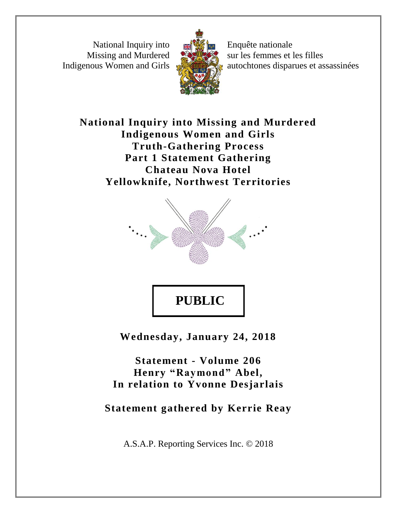National Inquiry into Missing and Murdered Indigenous Women and Girls



Enquête nationale sur les femmes et les filles autochtones disparues et assassinées

**National Inquiry into Missing and Murdered Indigenous Women and Girls Truth-Gathering Process Part 1 Statement Gathering Chateau Nova Hotel Yellowknife, Northwest Territories**



**PUBLIC** 

**Wednesday, January 24, 2018**

**Statement - Volume 206 Henry "Raymond" Abel, In relation to Yvonne Desjarlais**

**Statement gathered by Kerrie Reay**

A.S.A.P. Reporting Services Inc. © 2018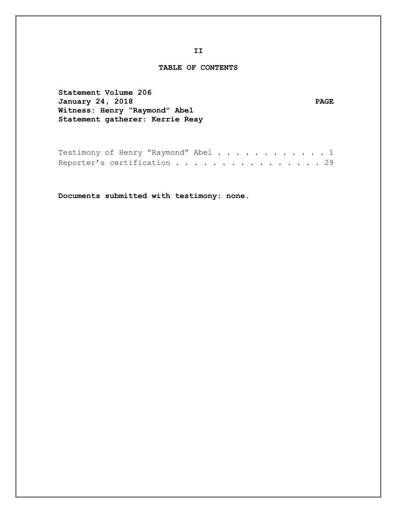#### **TABLE OF CONTENTS**

**Statement Volume 206 January 24, 2018 PAGE Witness: Henry "Raymond" Abel Statement gatherer: Kerrie Reay**

| Testimony of Henry "Raymond" Abel 1 |  |  |  |  |  |  |  |  |  |  |
|-------------------------------------|--|--|--|--|--|--|--|--|--|--|
| Reporter's certification 29         |  |  |  |  |  |  |  |  |  |  |

**Documents submitted with testimony: none.**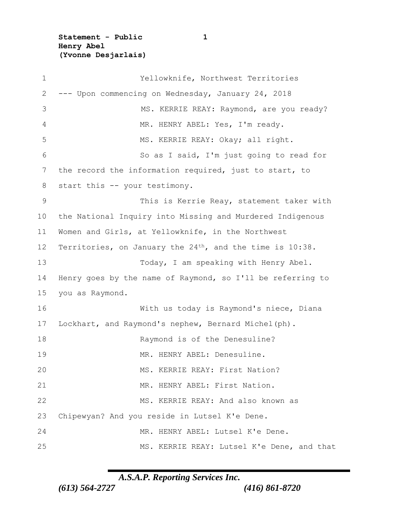**Statement - Public 1 Henry Abel (Yvonne Desjarlais)**

 Yellowknife, Northwest Territories --- Upon commencing on Wednesday, January 24, 2018 3 MS. KERRIE REAY: Raymond, are you ready? 4 MR. HENRY ABEL: Yes, I'm ready. 5 MS. KERRIE REAY: Okay; all right. So as I said, I'm just going to read for the record the information required, just to start, to 8 start this -- your testimony. This is Kerrie Reay, statement taker with the National Inquiry into Missing and Murdered Indigenous Women and Girls, at Yellowknife, in the Northwest 12 Territories, on January the 24<sup>th</sup>, and the time is 10:38. Today, I am speaking with Henry Abel. Henry goes by the name of Raymond, so I'll be referring to you as Raymond. With us today is Raymond's niece, Diana Lockhart, and Raymond's nephew, Bernard Michel(ph). 18 Raymond is of the Denesuline? MR. HENRY ABEL: Denesuline. 20 MS. KERRIE REAY: First Nation? MR. HENRY ABEL: First Nation. MS. KERRIE REAY: And also known as Chipewyan? And you reside in Lutsel K'e Dene. MR. HENRY ABEL: Lutsel K'e Dene. MS. KERRIE REAY: Lutsel K'e Dene, and that

*A.S.A.P. Reporting Services Inc.*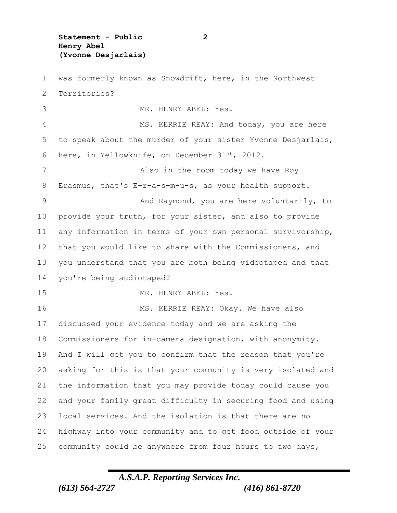**Statement - Public 2 Henry Abel (Yvonne Desjarlais)**

 was formerly known as Snowdrift, here, in the Northwest Territories? MR. HENRY ABEL: Yes. 4 MS. KERRIE REAY: And today, you are here to speak about the murder of your sister Yvonne Desjarlais, here, in Yellowknife, on December 31st, 2012. 7 Also in the room today we have Roy Erasmus, that's E-r-a-s-m-u-s, as your health support. 9 And Raymond, you are here voluntarily, to provide your truth, for your sister, and also to provide any information in terms of your own personal survivorship, that you would like to share with the Commissioners, and you understand that you are both being videotaped and that you're being audiotaped? MR. HENRY ABEL: Yes. 16 MS. KERRIE REAY: Okay. We have also discussed your evidence today and we are asking the Commissioners for in-camera designation, with anonymity. And I will get you to confirm that the reason that you're asking for this is that your community is very isolated and the information that you may provide today could cause you and your family great difficulty in securing food and using local services. And the isolation is that there are no highway into your community and to get food outside of your community could be anywhere from four hours to two days,

## *A.S.A.P. Reporting Services Inc. (613) 564-2727 (416) 861-8720*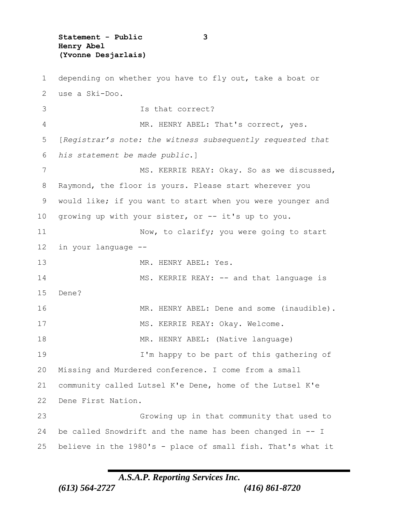**Statement - Public 3 Henry Abel (Yvonne Desjarlais)**

 depending on whether you have to fly out, take a boat or use a Ski-Doo. Is that correct? 4 MR. HENRY ABEL: That's correct, yes. [*Registrar's note: the witness subsequently requested that his statement be made public*.] 7 MS. KERRIE REAY: Okay. So as we discussed, Raymond, the floor is yours. Please start wherever you would like; if you want to start when you were younger and growing up with your sister, or -- it's up to you. 11 Now, to clarify; you were going to start in your language -- MR. HENRY ABEL: Yes. 14 MS. KERRIE REAY: -- and that language is Dene? MR. HENRY ABEL: Dene and some (inaudible). 17 MS. KERRIE REAY: Okay. Welcome. MR. HENRY ABEL: (Native language) I'm happy to be part of this gathering of Missing and Murdered conference. I come from a small community called Lutsel K'e Dene, home of the Lutsel K'e Dene First Nation. Growing up in that community that used to be called Snowdrift and the name has been changed in -- I believe in the 1980's - place of small fish. That's what it

*A.S.A.P. Reporting Services Inc.*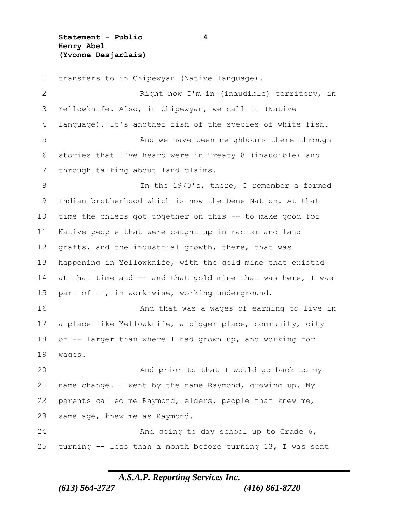**Statement - Public 4 Henry Abel (Yvonne Desjarlais)**

 transfers to in Chipewyan (Native language). Right now I'm in (inaudible) territory, in Yellowknife. Also, in Chipewyan, we call it (Native language). It's another fish of the species of white fish. And we have been neighbours there through stories that I've heard were in Treaty 8 (inaudible) and through talking about land claims. In the 1970's, there, I remember a formed Indian brotherhood which is now the Dene Nation. At that time the chiefs got together on this -- to make good for Native people that were caught up in racism and land grafts, and the industrial growth, there, that was happening in Yellowknife, with the gold mine that existed 14 at that time and -- and that gold mine that was here, I was part of it, in work-wise, working underground. 16 And that was a wages of earning to live in a place like Yellowknife, a bigger place, community, city of -- larger than where I had grown up, and working for wages. And prior to that I would go back to my name change. I went by the name Raymond, growing up. My parents called me Raymond, elders, people that knew me, same age, knew me as Raymond. And going to day school up to Grade 6, turning -- less than a month before turning 13, I was sent

### *A.S.A.P. Reporting Services Inc.*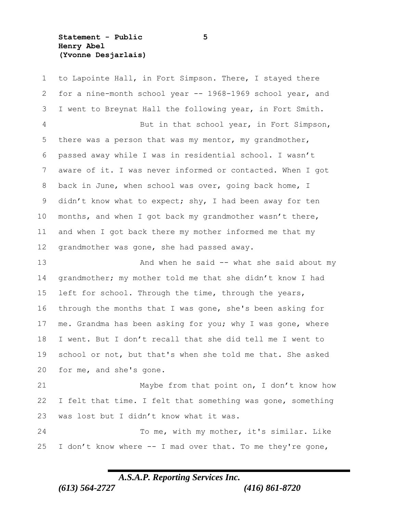**Statement - Public 5 Henry Abel (Yvonne Desjarlais)**

 to Lapointe Hall, in Fort Simpson. There, I stayed there for a nine-month school year -- 1968-1969 school year, and I went to Breynat Hall the following year, in Fort Smith. But in that school year, in Fort Simpson, there was a person that was my mentor, my grandmother, passed away while I was in residential school. I wasn't aware of it. I was never informed or contacted. When I got back in June, when school was over, going back home, I didn't know what to expect; shy, I had been away for ten months, and when I got back my grandmother wasn't there, and when I got back there my mother informed me that my grandmother was gone, she had passed away. And when he said -- what she said about my grandmother; my mother told me that she didn't know I had left for school. Through the time, through the years,

 through the months that I was gone, she's been asking for 17 me. Grandma has been asking for you; why I was gone, where I went. But I don't recall that she did tell me I went to school or not, but that's when she told me that. She asked for me, and she's gone.

 Maybe from that point on, I don't know how 22 I felt that time. I felt that something was gone, something was lost but I didn't know what it was.

 To me, with my mother, it's similar. Like 25 I don't know where  $--$  I mad over that. To me they're gone,

### *A.S.A.P. Reporting Services Inc.*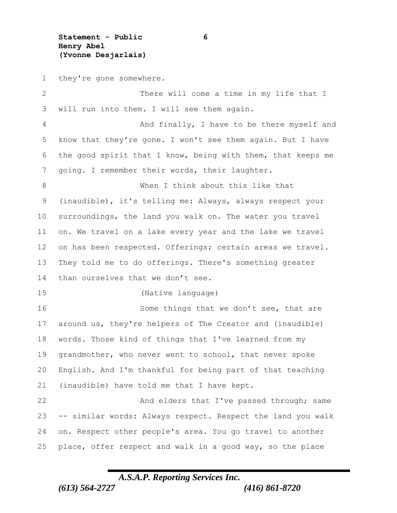**Statement - Public 6 Henry Abel (Yvonne Desjarlais)**

they're gone somewhere.

 There will come a time in my life that I will run into them. I will see them again. 4 And finally, I have to be there myself and know that they're gone. I won't see them again. But I have the good spirit that I know, being with them, that keeps me going. I remember their words, their laughter. When I think about this like that (inaudible), it's telling me: Always, always respect your surroundings, the land you walk on. The water you travel on. We travel on a lake every year and the lake we travel on has been respected. Offerings; certain areas we travel. They told me to do offerings. There's something greater 14 than ourselves that we don't see. (Native language) 16 Some things that we don't see, that are around us, they're helpers of The Creator and (inaudible) words. Those kind of things that I've learned from my grandmother, who never went to school, that never spoke English. And I'm thankful for being part of that teaching (inaudible) have told me that I have kept. 22 And elders that I've passed through; same -- similar words: Always respect. Respect the land you walk on. Respect other people's area. You go travel to another place, offer respect and walk in a good way, so the place

*A.S.A.P. Reporting Services Inc.*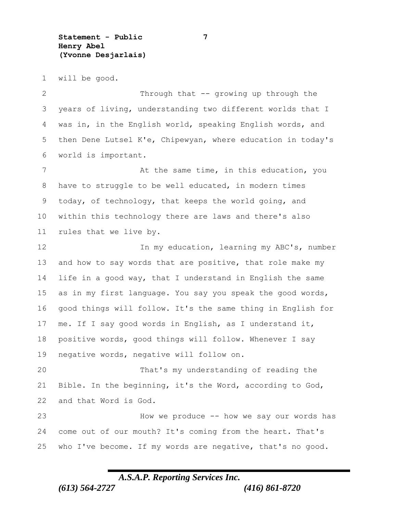**Statement - Public 7 Henry Abel (Yvonne Desjarlais)**

will be good.

2 Through that -- growing up through the years of living, understanding two different worlds that I was in, in the English world, speaking English words, and then Dene Lutsel K'e, Chipewyan, where education in today's world is important. 7 At the same time, in this education, you have to struggle to be well educated, in modern times today, of technology, that keeps the world going, and within this technology there are laws and there's also rules that we live by. In my education, learning my ABC's, number 13 and how to say words that are positive, that role make my life in a good way, that I understand in English the same as in my first language. You say you speak the good words, good things will follow. It's the same thing in English for me. If I say good words in English, as I understand it, positive words, good things will follow. Whenever I say negative words, negative will follow on. That's my understanding of reading the Bible. In the beginning, it's the Word, according to God, and that Word is God. How we produce -- how we say our words has come out of our mouth? It's coming from the heart. That's who I've become. If my words are negative, that's no good.

### *A.S.A.P. Reporting Services Inc.*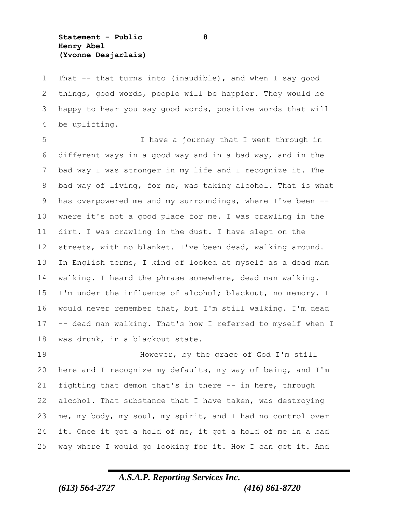**Statement - Public 8 Henry Abel (Yvonne Desjarlais)**

 That -- that turns into (inaudible), and when I say good things, good words, people will be happier. They would be happy to hear you say good words, positive words that will be uplifting.

 I have a journey that I went through in different ways in a good way and in a bad way, and in the bad way I was stronger in my life and I recognize it. The bad way of living, for me, was taking alcohol. That is what has overpowered me and my surroundings, where I've been -- where it's not a good place for me. I was crawling in the dirt. I was crawling in the dust. I have slept on the streets, with no blanket. I've been dead, walking around. In English terms, I kind of looked at myself as a dead man walking. I heard the phrase somewhere, dead man walking. I'm under the influence of alcohol; blackout, no memory. I would never remember that, but I'm still walking. I'm dead -- dead man walking. That's how I referred to myself when I was drunk, in a blackout state.

19 However, by the grace of God I'm still here and I recognize my defaults, my way of being, and I'm fighting that demon that's in there -- in here, through alcohol. That substance that I have taken, was destroying me, my body, my soul, my spirit, and I had no control over it. Once it got a hold of me, it got a hold of me in a bad way where I would go looking for it. How I can get it. And

# *A.S.A.P. Reporting Services Inc. (613) 564-2727 (416) 861-8720*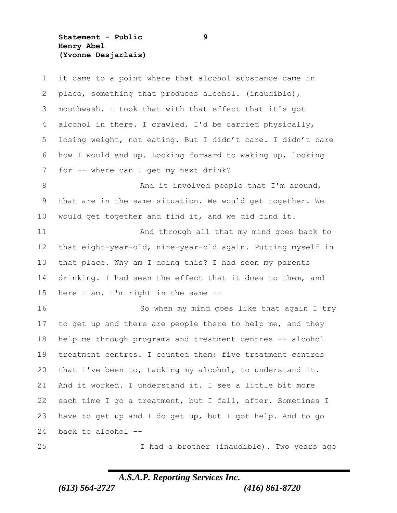**Statement - Public 9 Henry Abel (Yvonne Desjarlais)**

| $\mathbf 1$ | it came to a point where that alcohol substance came in     |
|-------------|-------------------------------------------------------------|
| 2           | place, something that produces alcohol. (inaudible),        |
| 3           | mouthwash. I took that with that effect that it's got       |
| 4           | alcohol in there. I crawled. I'd be carried physically,     |
| 5           | losing weight, not eating. But I didn't care. I didn't care |
| 6           | how I would end up. Looking forward to waking up, looking   |
| 7           | for -- where can I get my next drink?                       |
| 8           | And it involved people that I'm around,                     |
| 9           | that are in the same situation. We would get together. We   |
| 10          | would get together and find it, and we did find it.         |
| 11          | And through all that my mind goes back to                   |
| 12          | that eight-year-old, nine-year-old again. Putting myself in |
| 13          | that place. Why am I doing this? I had seen my parents      |
| 14          | drinking. I had seen the effect that it does to them, and   |
| 15          | here I am. I'm right in the same --                         |
| 16          | So when my mind goes like that again I try                  |
| 17          | to get up and there are people there to help me, and they   |
| 18          | help me through programs and treatment centres -- alcohol   |
| 19          | treatment centres. I counted them; five treatment centres   |
| 20          | that I've been to, tacking my alcohol, to understand it.    |
| 21          | And it worked. I understand it. I see a little bit more     |
| 22          | each time I go a treatment, but I fall, after. Sometimes I  |
| 23          | have to get up and I do get up, but I got help. And to go   |
| 24          | back to alcohol --                                          |
| 25          | I had a brother (inaudible). Two years ago                  |

*A.S.A.P. Reporting Services Inc. (613) 564-2727 (416) 861-8720*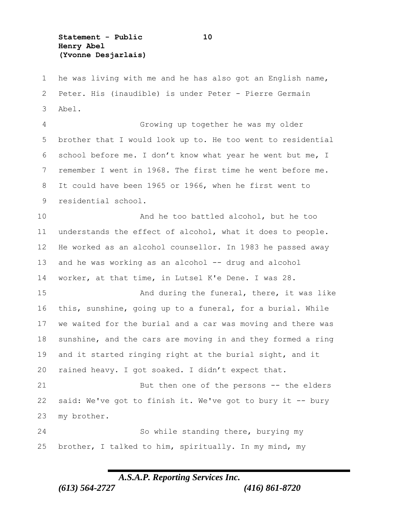**Statement - Public 10 Henry Abel (Yvonne Desjarlais)**

 he was living with me and he has also got an English name, Peter. His (inaudible) is under Peter - Pierre Germain Abel.

 Growing up together he was my older brother that I would look up to. He too went to residential school before me. I don't know what year he went but me, I remember I went in 1968. The first time he went before me. It could have been 1965 or 1966, when he first went to residential school.

 And he too battled alcohol, but he too understands the effect of alcohol, what it does to people. He worked as an alcohol counsellor. In 1983 he passed away and he was working as an alcohol -- drug and alcohol worker, at that time, in Lutsel K'e Dene. I was 28.

15 And during the funeral, there, it was like this, sunshine, going up to a funeral, for a burial. While we waited for the burial and a car was moving and there was sunshine, and the cars are moving in and they formed a ring and it started ringing right at the burial sight, and it rained heavy. I got soaked. I didn't expect that.

 But then one of the persons -- the elders said: We've got to finish it. We've got to bury it -- bury my brother.

 So while standing there, burying my brother, I talked to him, spiritually. In my mind, my

### *A.S.A.P. Reporting Services Inc.*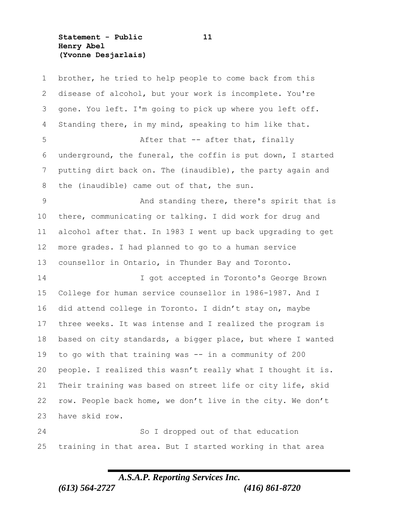**Statement - Public 11 Henry Abel (Yvonne Desjarlais)**

 brother, he tried to help people to come back from this disease of alcohol, but your work is incomplete. You're gone. You left. I'm going to pick up where you left off. Standing there, in my mind, speaking to him like that. 5 After that -- after that, finally underground, the funeral, the coffin is put down, I started putting dirt back on. The (inaudible), the party again and the (inaudible) came out of that, the sun. And standing there, there's spirit that is there, communicating or talking. I did work for drug and alcohol after that. In 1983 I went up back upgrading to get more grades. I had planned to go to a human service counsellor in Ontario, in Thunder Bay and Toronto. I got accepted in Toronto's George Brown College for human service counsellor in 1986-1987. And I did attend college in Toronto. I didn't stay on, maybe three weeks. It was intense and I realized the program is based on city standards, a bigger place, but where I wanted to go with that training was -- in a community of 200 people. I realized this wasn't really what I thought it is. Their training was based on street life or city life, skid row. People back home, we don't live in the city. We don't have skid row. So I dropped out of that education training in that area. But I started working in that area

### *A.S.A.P. Reporting Services Inc.*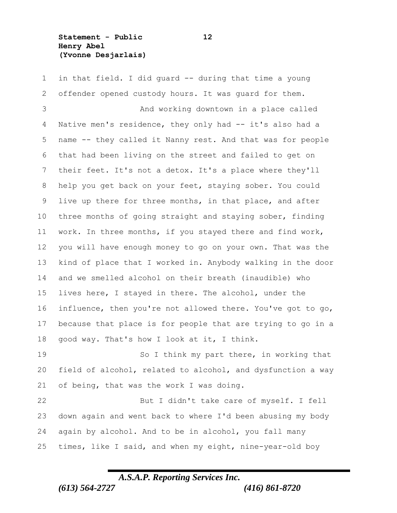**Statement - Public 12 Henry Abel (Yvonne Desjarlais)**

 in that field. I did guard -- during that time a young offender opened custody hours. It was guard for them. And working downtown in a place called Native men's residence, they only had -- it's also had a name -- they called it Nanny rest. And that was for people that had been living on the street and failed to get on their feet. It's not a detox. It's a place where they'll help you get back on your feet, staying sober. You could live up there for three months, in that place, and after three months of going straight and staying sober, finding work. In three months, if you stayed there and find work, you will have enough money to go on your own. That was the kind of place that I worked in. Anybody walking in the door and we smelled alcohol on their breath (inaudible) who lives here, I stayed in there. The alcohol, under the influence, then you're not allowed there. You've got to go, because that place is for people that are trying to go in a good way. That's how I look at it, I think. 19 So I think my part there, in working that field of alcohol, related to alcohol, and dysfunction a way

21 of being, that was the work I was doing. But I didn't take care of myself. I fell down again and went back to where I'd been abusing my body again by alcohol. And to be in alcohol, you fall many times, like I said, and when my eight, nine-year-old boy

*A.S.A.P. Reporting Services Inc.*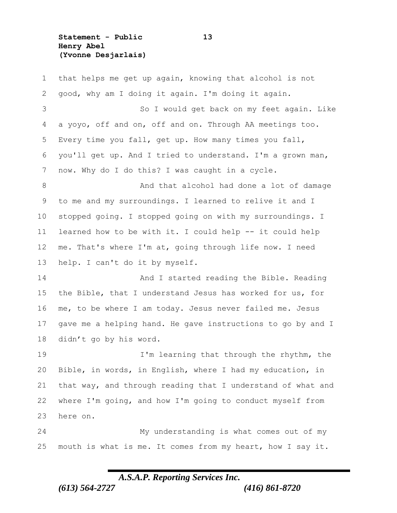**Statement - Public 13 Henry Abel (Yvonne Desjarlais)**

 that helps me get up again, knowing that alcohol is not good, why am I doing it again. I'm doing it again. So I would get back on my feet again. Like a yoyo, off and on, off and on. Through AA meetings too. Every time you fall, get up. How many times you fall, you'll get up. And I tried to understand. I'm a grown man, now. Why do I do this? I was caught in a cycle. 8 and that alcohol had done a lot of damage to me and my surroundings. I learned to relive it and I stopped going. I stopped going on with my surroundings. I learned how to be with it. I could help -- it could help me. That's where I'm at, going through life now. I need help. I can't do it by myself. 14 And I started reading the Bible. Reading the Bible, that I understand Jesus has worked for us, for me, to be where I am today. Jesus never failed me. Jesus gave me a helping hand. He gave instructions to go by and I didn't go by his word. 19 I'm learning that through the rhythm, the Bible, in words, in English, where I had my education, in that way, and through reading that I understand of what and where I'm going, and how I'm going to conduct myself from here on. My understanding is what comes out of my mouth is what is me. It comes from my heart, how I say it.

## *A.S.A.P. Reporting Services Inc.*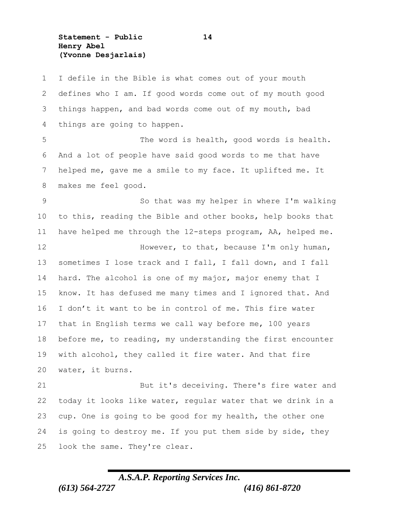**Statement - Public 14 Henry Abel (Yvonne Desjarlais)**

 I defile in the Bible is what comes out of your mouth defines who I am. If good words come out of my mouth good things happen, and bad words come out of my mouth, bad things are going to happen. The word is health, good words is health. And a lot of people have said good words to me that have helped me, gave me a smile to my face. It uplifted me. It makes me feel good. So that was my helper in where I'm walking to this, reading the Bible and other books, help books that have helped me through the 12-steps program, AA, helped me. **However, to that, because I'm only human,**  sometimes I lose track and I fall, I fall down, and I fall hard. The alcohol is one of my major, major enemy that I know. It has defused me many times and I ignored that. And I don't it want to be in control of me. This fire water that in English terms we call way before me, 100 years before me, to reading, my understanding the first encounter with alcohol, they called it fire water. And that fire water, it burns. But it's deceiving. There's fire water and today it looks like water, regular water that we drink in a cup. One is going to be good for my health, the other one is going to destroy me. If you put them side by side, they look the same. They're clear.

## *A.S.A.P. Reporting Services Inc. (613) 564-2727 (416) 861-8720*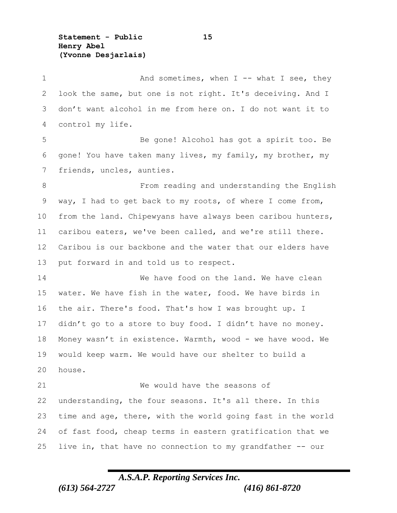**Statement - Public 15 Henry Abel (Yvonne Desjarlais)**

1 And sometimes, when I -- what I see, they look the same, but one is not right. It's deceiving. And I don't want alcohol in me from here on. I do not want it to control my life. Be gone! Alcohol has got a spirit too. Be gone! You have taken many lives, my family, my brother, my friends, uncles, aunties. From reading and understanding the English way, I had to get back to my roots, of where I come from, from the land. Chipewyans have always been caribou hunters, caribou eaters, we've been called, and we're still there. Caribou is our backbone and the water that our elders have put forward in and told us to respect. 14 We have food on the land. We have clean water. We have fish in the water, food. We have birds in the air. There's food. That's how I was brought up. I didn't go to a store to buy food. I didn't have no money. Money wasn't in existence. Warmth, wood - we have wood. We would keep warm. We would have our shelter to build a house. We would have the seasons of understanding, the four seasons. It's all there. In this time and age, there, with the world going fast in the world of fast food, cheap terms in eastern gratification that we 25 live in, that have no connection to my grandfather  $--$  our

## *A.S.A.P. Reporting Services Inc.*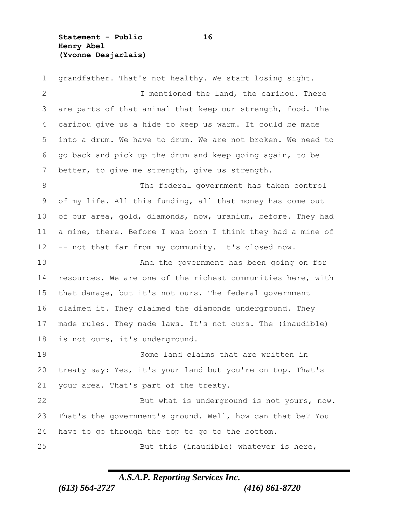**Statement - Public 16 Henry Abel (Yvonne Desjarlais)**

 grandfather. That's not healthy. We start losing sight. I mentioned the land, the caribou. There are parts of that animal that keep our strength, food. The caribou give us a hide to keep us warm. It could be made into a drum. We have to drum. We are not broken. We need to go back and pick up the drum and keep going again, to be better, to give me strength, give us strength. The federal government has taken control of my life. All this funding, all that money has come out of our area, gold, diamonds, now, uranium, before. They had a mine, there. Before I was born I think they had a mine of 12 -- not that far from my community. It's closed now. And the government has been going on for resources. We are one of the richest communities here, with that damage, but it's not ours. The federal government claimed it. They claimed the diamonds underground. They made rules. They made laws. It's not ours. The (inaudible) is not ours, it's underground. Some land claims that are written in treaty say: Yes, it's your land but you're on top. That's your area. That's part of the treaty. But what is underground is not yours, now. That's the government's ground. Well, how can that be? You have to go through the top to go to the bottom. But this (inaudible) whatever is here,

### *A.S.A.P. Reporting Services Inc.*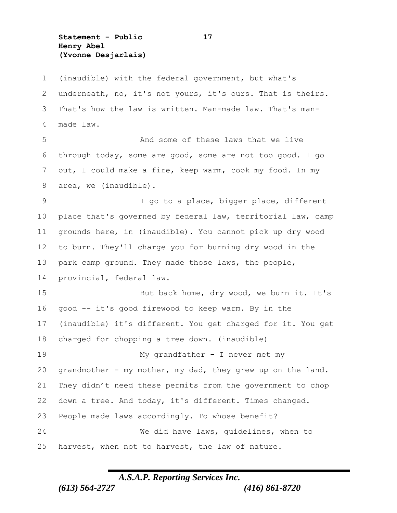**Statement - Public 17 Henry Abel (Yvonne Desjarlais)**

 (inaudible) with the federal government, but what's underneath, no, it's not yours, it's ours. That is theirs. That's how the law is written. Man-made law. That's man- made law. And some of these laws that we live through today, some are good, some are not too good. I go out, I could make a fire, keep warm, cook my food. In my area, we (inaudible). I go to a place, bigger place, different place that's governed by federal law, territorial law, camp grounds here, in (inaudible). You cannot pick up dry wood to burn. They'll charge you for burning dry wood in the park camp ground. They made those laws, the people, provincial, federal law. But back home, dry wood, we burn it. It's good -- it's good firewood to keep warm. By in the (inaudible) it's different. You get charged for it. You get charged for chopping a tree down. (inaudible) My grandfather - I never met my grandmother - my mother, my dad, they grew up on the land. They didn't need these permits from the government to chop down a tree. And today, it's different. Times changed. People made laws accordingly. To whose benefit? We did have laws, guidelines, when to harvest, when not to harvest, the law of nature.

### *A.S.A.P. Reporting Services Inc.*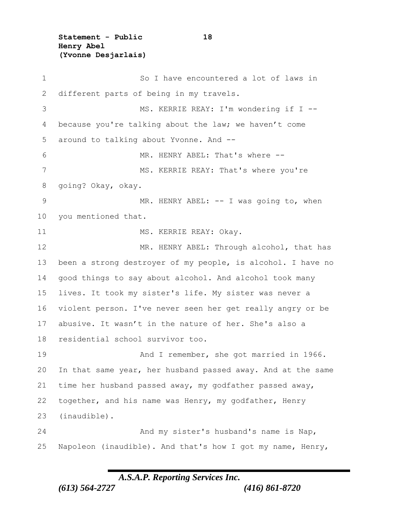**Statement - Public 18 Henry Abel (Yvonne Desjarlais)**

 So I have encountered a lot of laws in 2 different parts of being in my travels. MS. KERRIE REAY: I'm wondering if I -- because you're talking about the law; we haven't come around to talking about Yvonne. And -- MR. HENRY ABEL: That's where -- 7 MS. KERRIE REAY: That's where you're going? Okay, okay. 9 MR. HENRY ABEL: -- I was going to, when you mentioned that. 11 MS. KERRIE REAY: Okay. 12 MR. HENRY ABEL: Through alcohol, that has been a strong destroyer of my people, is alcohol. I have no good things to say about alcohol. And alcohol took many lives. It took my sister's life. My sister was never a violent person. I've never seen her get really angry or be abusive. It wasn't in the nature of her. She's also a residential school survivor too. And I remember, she got married in 1966. In that same year, her husband passed away. And at the same time her husband passed away, my godfather passed away, together, and his name was Henry, my godfather, Henry (inaudible). And my sister's husband's name is Nap, Napoleon (inaudible). And that's how I got my name, Henry,

### *A.S.A.P. Reporting Services Inc.*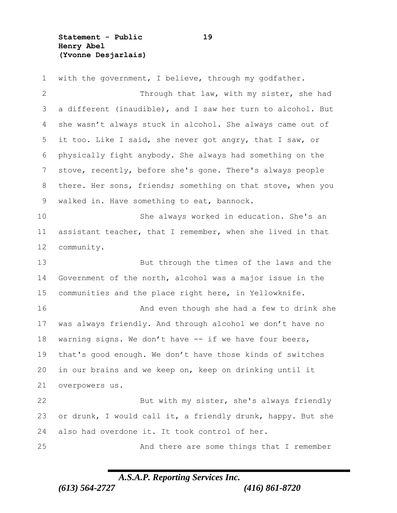**Statement - Public 19 Henry Abel (Yvonne Desjarlais)**

 with the government, I believe, through my godfather. Through that law, with my sister, she had a different (inaudible), and I saw her turn to alcohol. But she wasn't always stuck in alcohol. She always came out of it too. Like I said, she never got angry, that I saw, or physically fight anybody. She always had something on the stove, recently, before she's gone. There's always people there. Her sons, friends; something on that stove, when you walked in. Have something to eat, bannock. She always worked in education. She's an assistant teacher, that I remember, when she lived in that community. But through the times of the laws and the Government of the north, alcohol was a major issue in the communities and the place right here, in Yellowknife. **And even though she had a few to drink she**  was always friendly. And through alcohol we don't have no 18 warning signs. We don't have -- if we have four beers, that's good enough. We don't have those kinds of switches in our brains and we keep on, keep on drinking until it overpowers us. But with my sister, she's always friendly or drunk, I would call it, a friendly drunk, happy. But she also had overdone it. It took control of her. And there are some things that I remember

## *A.S.A.P. Reporting Services Inc.*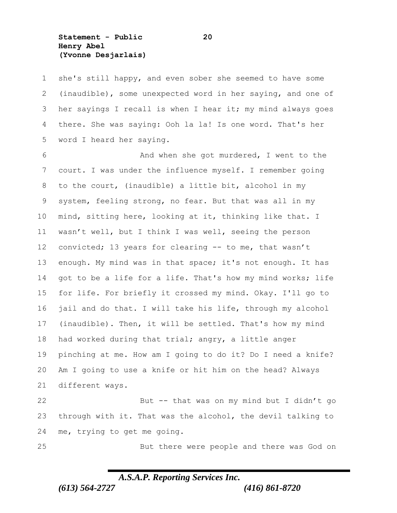**Statement - Public 20 Henry Abel (Yvonne Desjarlais)**

 she's still happy, and even sober she seemed to have some (inaudible), some unexpected word in her saying, and one of her sayings I recall is when I hear it; my mind always goes there. She was saying: Ooh la la! Is one word. That's her word I heard her saying.

 And when she got murdered, I went to the court. I was under the influence myself. I remember going to the court, (inaudible) a little bit, alcohol in my system, feeling strong, no fear. But that was all in my mind, sitting here, looking at it, thinking like that. I wasn't well, but I think I was well, seeing the person convicted; 13 years for clearing -- to me, that wasn't enough. My mind was in that space; it's not enough. It has got to be a life for a life. That's how my mind works; life for life. For briefly it crossed my mind. Okay. I'll go to jail and do that. I will take his life, through my alcohol (inaudible). Then, it will be settled. That's how my mind had worked during that trial; angry, a little anger pinching at me. How am I going to do it? Do I need a knife? Am I going to use a knife or hit him on the head? Always different ways. But -- that was on my mind but I didn't go

 through with it. That was the alcohol, the devil talking to me, trying to get me going.

But there were people and there was God on

### *A.S.A.P. Reporting Services Inc.*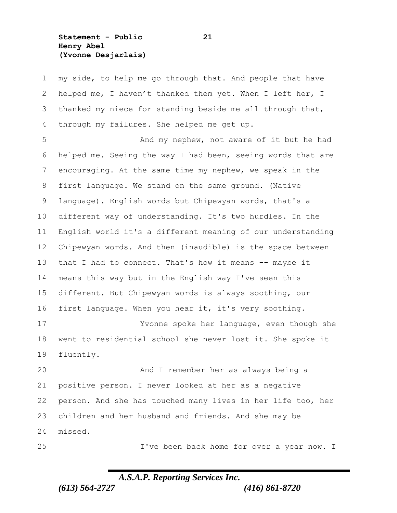**Statement - Public 21 Henry Abel (Yvonne Desjarlais)**

 my side, to help me go through that. And people that have helped me, I haven't thanked them yet. When I left her, I thanked my niece for standing beside me all through that, through my failures. She helped me get up. And my nephew, not aware of it but he had helped me. Seeing the way I had been, seeing words that are encouraging. At the same time my nephew, we speak in the first language. We stand on the same ground. (Native language). English words but Chipewyan words, that's a different way of understanding. It's two hurdles. In the English world it's a different meaning of our understanding Chipewyan words. And then (inaudible) is the space between that I had to connect. That's how it means -- maybe it means this way but in the English way I've seen this different. But Chipewyan words is always soothing, our first language. When you hear it, it's very soothing. Yvonne spoke her language, even though she went to residential school she never lost it. She spoke it fluently. And I remember her as always being a positive person. I never looked at her as a negative person. And she has touched many lives in her life too, her children and her husband and friends. And she may be missed.

I've been back home for over a year now. I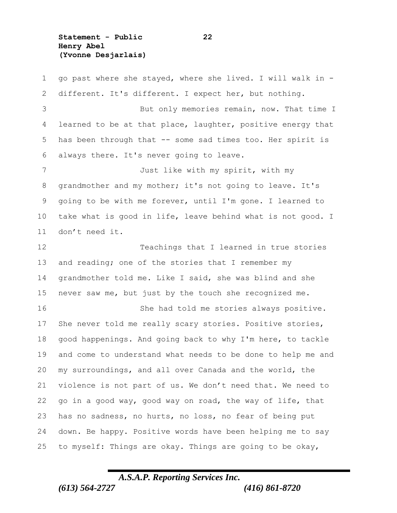**Statement - Public 22 Henry Abel (Yvonne Desjarlais)**

 go past where she stayed, where she lived. I will walk in - different. It's different. I expect her, but nothing. But only memories remain, now. That time I 4 learned to be at that place, laughter, positive energy that has been through that -- some sad times too. Her spirit is always there. It's never going to leave. Just like with my spirit, with my grandmother and my mother; it's not going to leave. It's going to be with me forever, until I'm gone. I learned to take what is good in life, leave behind what is not good. I don't need it. Teachings that I learned in true stories 13 and reading; one of the stories that I remember my grandmother told me. Like I said, she was blind and she never saw me, but just by the touch she recognized me. She had told me stories always positive. She never told me really scary stories. Positive stories, good happenings. And going back to why I'm here, to tackle and come to understand what needs to be done to help me and my surroundings, and all over Canada and the world, the violence is not part of us. We don't need that. We need to go in a good way, good way on road, the way of life, that has no sadness, no hurts, no loss, no fear of being put down. Be happy. Positive words have been helping me to say to myself: Things are okay. Things are going to be okay,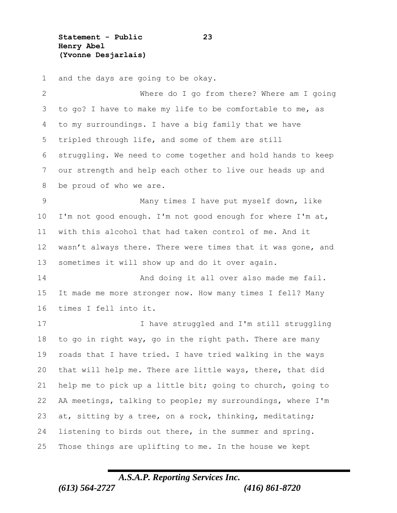**Statement - Public 23 Henry Abel (Yvonne Desjarlais)**

 and the days are going to be okay. Where do I go from there? Where am I going to go? I have to make my life to be comfortable to me, as to my surroundings. I have a big family that we have tripled through life, and some of them are still struggling. We need to come together and hold hands to keep our strength and help each other to live our heads up and be proud of who we are. Many times I have put myself down, like I'm not good enough. I'm not good enough for where I'm at, with this alcohol that had taken control of me. And it 12 wasn't always there. There were times that it was gone, and sometimes it will show up and do it over again. 14 And doing it all over also made me fail. It made me more stronger now. How many times I fell? Many times I fell into it. I have struggled and I'm still struggling to go in right way, go in the right path. There are many roads that I have tried. I have tried walking in the ways that will help me. There are little ways, there, that did help me to pick up a little bit; going to church, going to AA meetings, talking to people; my surroundings, where I'm at, sitting by a tree, on a rock, thinking, meditating; listening to birds out there, in the summer and spring. Those things are uplifting to me. In the house we kept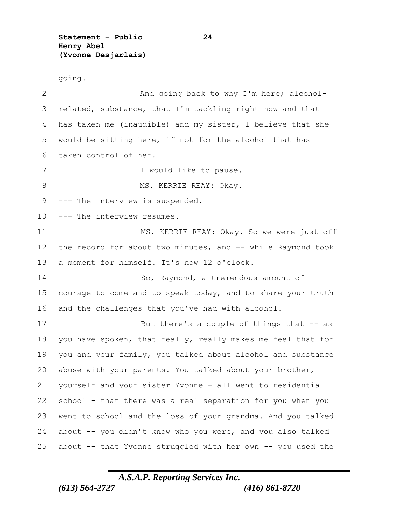**Statement - Public 24 Henry Abel (Yvonne Desjarlais)**

going.

2 And going back to why I'm here; alcohol- related, substance, that I'm tackling right now and that has taken me (inaudible) and my sister, I believe that she would be sitting here, if not for the alcohol that has taken control of her. 7 I would like to pause. 8 MS. KERRIE REAY: Okay. --- The interview is suspended. 10 --- The interview resumes. MS. KERRIE REAY: Okay. So we were just off the record for about two minutes, and -- while Raymond took a moment for himself. It's now 12 o'clock. 14 So, Raymond, a tremendous amount of courage to come and to speak today, and to share your truth and the challenges that you've had with alcohol. 17 But there's a couple of things that -- as you have spoken, that really, really makes me feel that for you and your family, you talked about alcohol and substance abuse with your parents. You talked about your brother, yourself and your sister Yvonne - all went to residential school - that there was a real separation for you when you went to school and the loss of your grandma. And you talked about -- you didn't know who you were, and you also talked about -- that Yvonne struggled with her own -- you used the

## *A.S.A.P. Reporting Services Inc. (613) 564-2727 (416) 861-8720*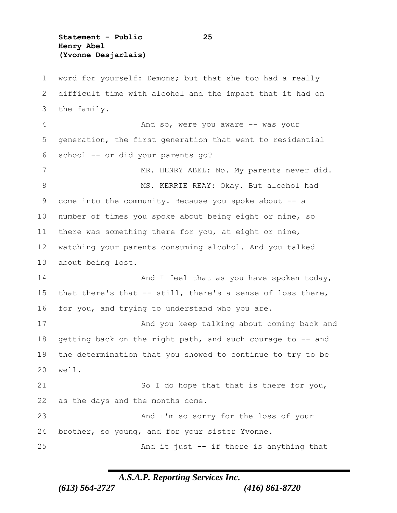**Statement - Public 25 Henry Abel (Yvonne Desjarlais)**

 word for yourself: Demons; but that she too had a really difficult time with alcohol and the impact that it had on the family. 4 And so, were you aware -- was your generation, the first generation that went to residential school -- or did your parents go? 7 MR. HENRY ABEL: No. My parents never did. 8 MS. KERRIE REAY: Okay. But alcohol had come into the community. Because you spoke about -- a number of times you spoke about being eight or nine, so there was something there for you, at eight or nine, watching your parents consuming alcohol. And you talked about being lost. 14 And I feel that as you have spoken today, that there's that -- still, there's a sense of loss there, for you, and trying to understand who you are. 17 And you keep talking about coming back and 18 getting back on the right path, and such courage to -- and the determination that you showed to continue to try to be 20 well. 21 So I do hope that that is there for you, as the days and the months come. And I'm so sorry for the loss of your brother, so young, and for your sister Yvonne. And it just -- if there is anything that

### *A.S.A.P. Reporting Services Inc.*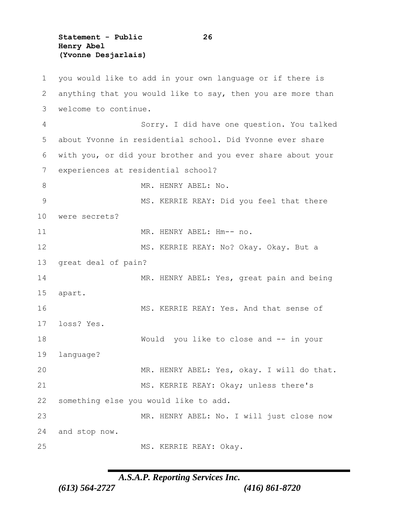**Statement - Public 26 Henry Abel (Yvonne Desjarlais)**

 you would like to add in your own language or if there is anything that you would like to say, then you are more than welcome to continue. Sorry. I did have one question. You talked about Yvonne in residential school. Did Yvonne ever share with you, or did your brother and you ever share about your experiences at residential school? 8 MR. HENRY ABEL: No. MS. KERRIE REAY: Did you feel that there were secrets? 11 MR. HENRY ABEL: Hm-- no. MS. KERRIE REAY: No? Okay. Okay. But a great deal of pain? 14 MR. HENRY ABEL: Yes, great pain and being apart. 16 MS. KERRIE REAY: Yes. And that sense of loss? Yes. Would you like to close and -- in your language? MR. HENRY ABEL: Yes, okay. I will do that. MS. KERRIE REAY: Okay; unless there's something else you would like to add. MR. HENRY ABEL: No. I will just close now and stop now. 25 MS. KERRIE REAY: Okay.

*A.S.A.P. Reporting Services Inc.*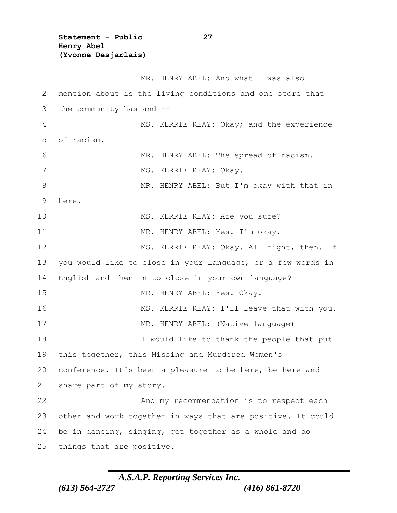**Statement - Public 27 Henry Abel (Yvonne Desjarlais)**

1 MR. HENRY ABEL: And what I was also 2 mention about is the living conditions and one store that 3 the community has and -- 4 MS. KERRIE REAY: Okay; and the experience 5 of racism. 6 MR. HENRY ABEL: The spread of racism. 7 MS. KERRIE REAY: Okay. 8 MR. HENRY ABEL: But I'm okay with that in 9 here. 10 MS. KERRIE REAY: Are you sure? 11 MR. HENRY ABEL: Yes. I'm okay. 12 MS. KERRIE REAY: Okay. All right, then. If 13 you would like to close in your language, or a few words in 14 English and then in to close in your own language? 15 MR. HENRY ABEL: Yes. Okay. 16 MS. KERRIE REAY: I'll leave that with you. 17 MR. HENRY ABEL: (Native language) 18 I would like to thank the people that put 19 this together, this Missing and Murdered Women's 20 conference. It's been a pleasure to be here, be here and 21 share part of my story. 22 And my recommendation is to respect each 23 other and work together in ways that are positive. It could 24 be in dancing, singing, get together as a whole and do 25 things that are positive.

## *A.S.A.P. Reporting Services Inc. (613) 564-2727 (416) 861-8720*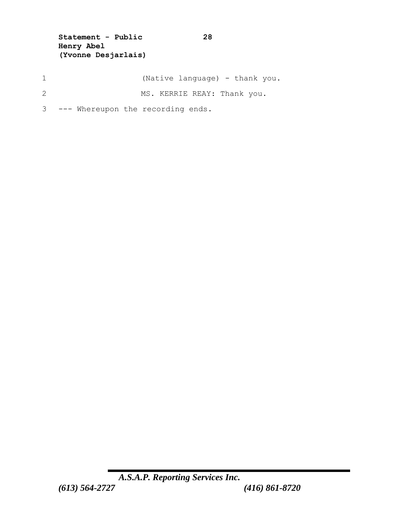**Statement - Public 28 Henry Abel (Yvonne Desjarlais)**

- 1 (Native language) thank you.
- 2 MS. KERRIE REAY: Thank you.
- 3 --- Whereupon the recording ends.